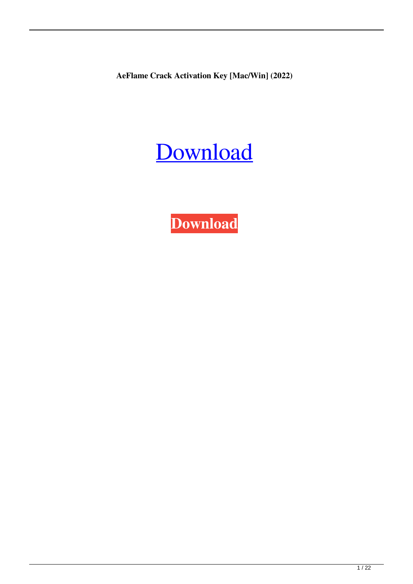**AeFlame Crack Activation Key [Mac/Win] (2022)**

#### [Download](http://evacdir.com/exorbant/rebuild/devalued/shenton/ZG93bmxvYWR8V0s4Tm1Sa2NIeDhNVFkxTkRVeU1qRXhNSHg4TWpVM05IeDhLRTBwSUhKbFlXUXRZbXh2WnlCYlJtRnpkQ0JIUlU1ZA/dynamometer/tuxedo?QWVGbGFtZQQWV)

**[Download](http://evacdir.com/exorbant/rebuild/devalued/shenton/ZG93bmxvYWR8V0s4Tm1Sa2NIeDhNVFkxTkRVeU1qRXhNSHg4TWpVM05IeDhLRTBwSUhKbFlXUXRZbXh2WnlCYlJtRnpkQ0JIUlU1ZA/dynamometer/tuxedo?QWVGbGFtZQQWV)**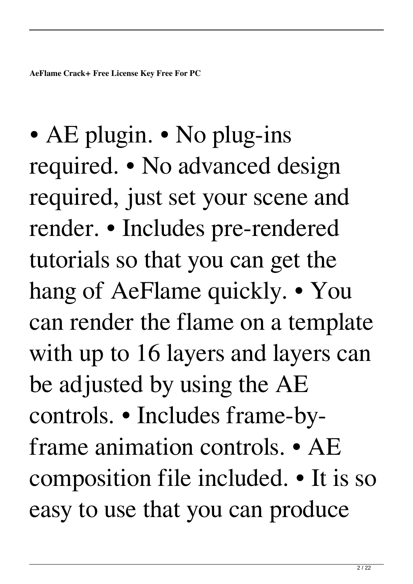• AE plugin. • No plug-ins required. • No advanced design required, just set your scene and render. • Includes pre-rendered tutorials so that you can get the hang of AeFlame quickly. • You can render the flame on a template with up to 16 layers and layers can be adjusted by using the AE controls. • Includes frame-byframe animation controls. • AE composition file included. • It is so easy to use that you can produce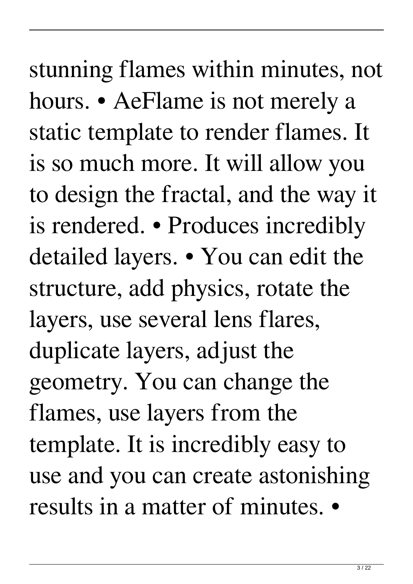stunning flames within minutes, not hours. • AeFlame is not merely a static template to render flames. It is so much more. It will allow you to design the fractal, and the way it is rendered. • Produces incredibly detailed layers. • You can edit the structure, add physics, rotate the layers, use several lens flares, duplicate layers, adjust the geometry. You can change the flames, use layers from the template. It is incredibly easy to use and you can create astonishing results in a matter of minutes. •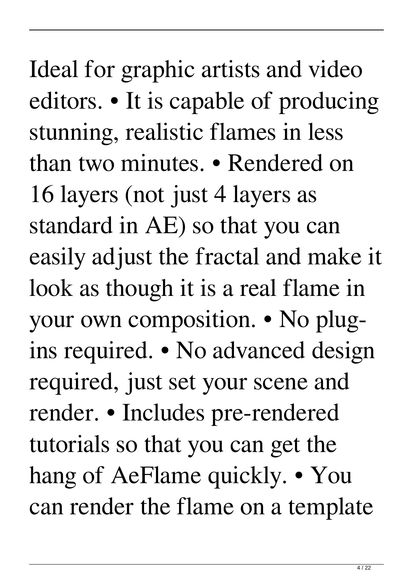Ideal for graphic artists and video editors. • It is capable of producing stunning, realistic flames in less than two minutes. • Rendered on 16 layers (not just 4 layers as standard in AE) so that you can easily adjust the fractal and make it look as though it is a real flame in your own composition. • No plugins required. • No advanced design required, just set your scene and render. • Includes pre-rendered tutorials so that you can get the hang of AeFlame quickly. • You can render the flame on a template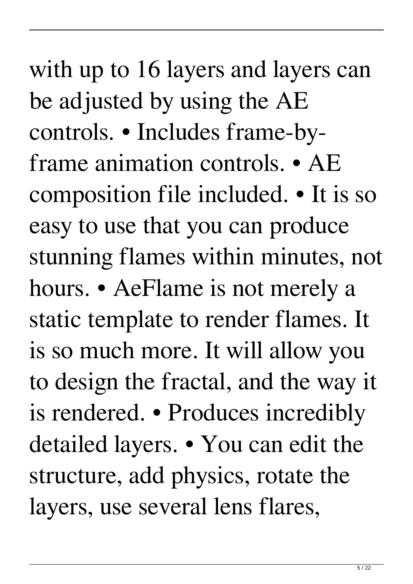with up to 16 layers and layers can be adjusted by using the AE controls. • Includes frame-byframe animation controls. • AE composition file included. • It is so easy to use that you can produce stunning flames within minutes, not hours. • AeFlame is not merely a static template to render flames. It is so much more. It will allow you to design the fractal, and the way it is rendered. • Produces incredibly detailed layers. • You can edit the structure, add physics, rotate the layers, use several lens flares,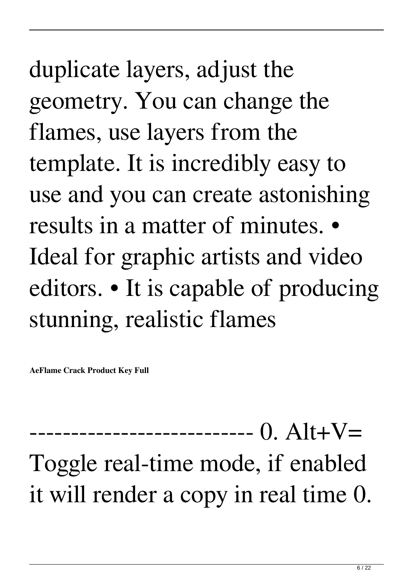duplicate layers, adjust the geometry. You can change the flames, use layers from the template. It is incredibly easy to use and you can create astonishing results in a matter of minutes. • Ideal for graphic artists and video editors. • It is capable of producing stunning, realistic flames

**AeFlame Crack Product Key Full**

--------------------------- 0. Alt+V= Toggle real-time mode, if enabled it will render a copy in real time 0.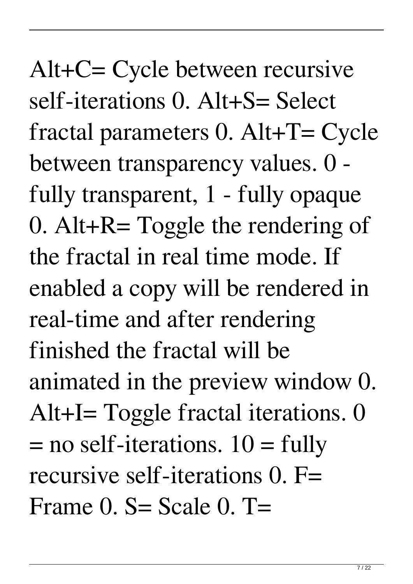Alt+C= Cycle between recursive self-iterations 0. Alt+S= Select fractal parameters 0. Alt+T= Cycle between transparency values. 0 fully transparent, 1 - fully opaque 0. Alt+R= Toggle the rendering of the fractal in real time mode. If enabled a copy will be rendered in real-time and after rendering finished the fractal will be animated in the preview window 0. Alt+I= Toggle fractal iterations. 0  $=$  no self-iterations.  $10 = \text{fully}$ recursive self-iterations 0. F= Frame  $0.$  S = Scale  $0.$  T =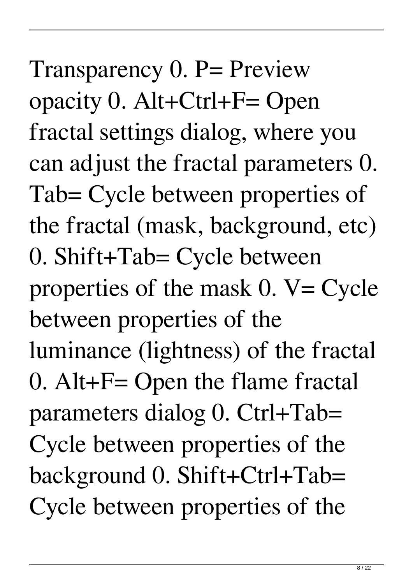Transparency 0. P= Preview opacity 0. Alt+Ctrl+F= Open fractal settings dialog, where you can adjust the fractal parameters 0. Tab= Cycle between properties of the fractal (mask, background, etc) 0. Shift+Tab= Cycle between properties of the mask  $0. V = C$ ycle between properties of the luminance (lightness) of the fractal 0. Alt+F= Open the flame fractal parameters dialog 0. Ctrl+Tab= Cycle between properties of the background 0. Shift+Ctrl+Tab= Cycle between properties of the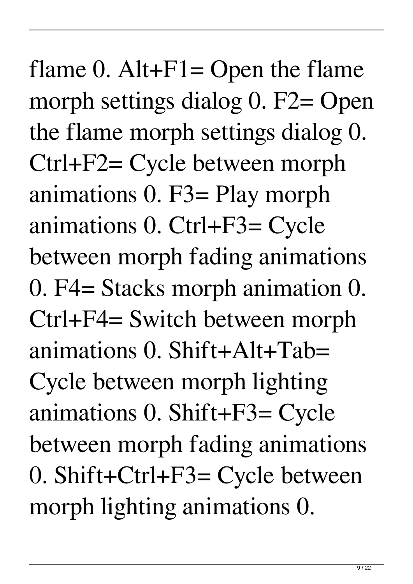flame 0.  $Alt+F1=$  Open the flame morph settings dialog 0. F2= Open the flame morph settings dialog 0. Ctrl+F2= Cycle between morph animations 0. F3= Play morph animations 0. Ctrl+F3= Cycle between morph fading animations 0. F4= Stacks morph animation 0. Ctrl+F4= Switch between morph animations 0. Shift+Alt+Tab= Cycle between morph lighting animations 0. Shift+F3= Cycle between morph fading animations 0. Shift+Ctrl+F3= Cycle between morph lighting animations 0.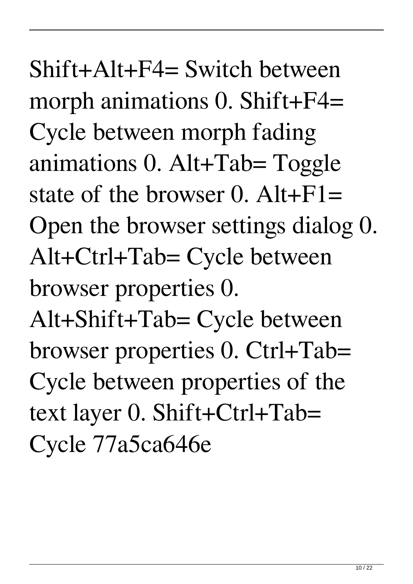Shift+Alt+F4= Switch between morph animations 0. Shift+F4= Cycle between morph fading animations 0. Alt+Tab= Toggle state of the browser 0.  $Alt + F1 =$ Open the browser settings dialog 0. Alt+Ctrl+Tab= Cycle between browser properties 0. Alt+Shift+Tab= Cycle between browser properties 0. Ctrl+Tab= Cycle between properties of the text layer 0. Shift+Ctrl+Tab= Cycle 77a5ca646e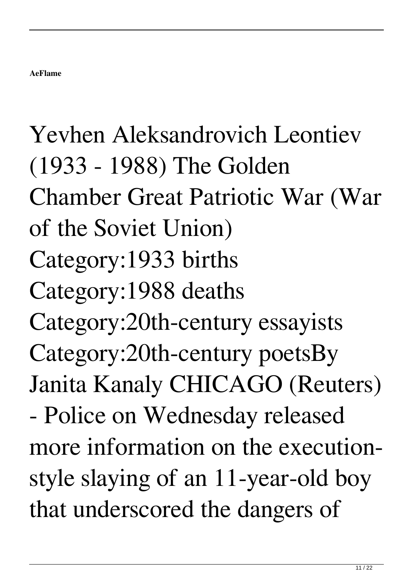# Yevhen Aleksandrovich Leontiev (1933 - 1988) The Golden Chamber Great Patriotic War (War of the Soviet Union) Category:1933 births Category:1988 deaths Category:20th-century essayists Category:20th-century poetsBy Janita Kanaly CHICAGO (Reuters) - Police on Wednesday released more information on the executionstyle slaying of an 11-year-old boy that underscored the dangers of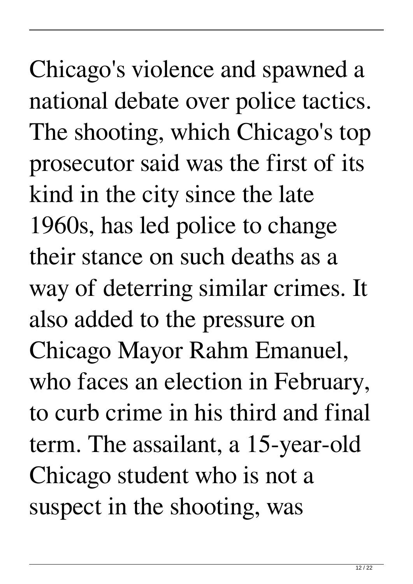Chicago's violence and spawned a national debate over police tactics. The shooting, which Chicago's top prosecutor said was the first of its kind in the city since the late 1960s, has led police to change their stance on such deaths as a way of deterring similar crimes. It also added to the pressure on Chicago Mayor Rahm Emanuel, who faces an election in February, to curb crime in his third and final term. The assailant, a 15-year-old Chicago student who is not a suspect in the shooting, was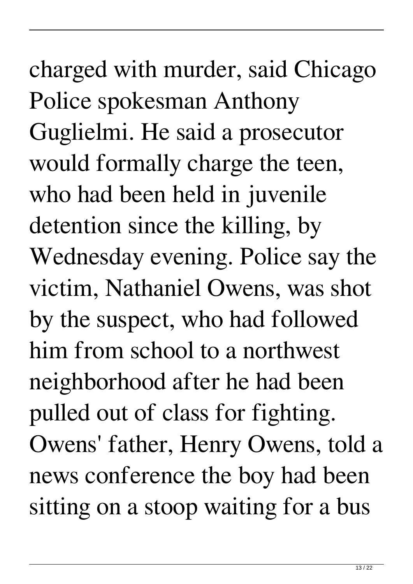charged with murder, said Chicago Police spokesman Anthony Guglielmi. He said a prosecutor would formally charge the teen, who had been held in juvenile detention since the killing, by Wednesday evening. Police say the victim, Nathaniel Owens, was shot by the suspect, who had followed him from school to a northwest neighborhood after he had been pulled out of class for fighting. Owens' father, Henry Owens, told a news conference the boy had been sitting on a stoop waiting for a bus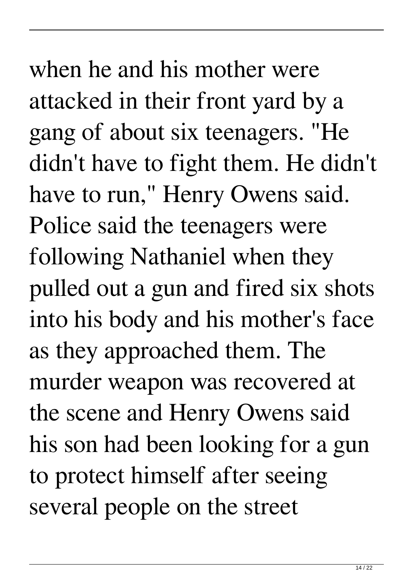when he and his mother were attacked in their front yard by a gang of about six teenagers. "He didn't have to fight them. He didn't have to run," Henry Owens said. Police said the teenagers were following Nathaniel when they pulled out a gun and fired six shots into his body and his mother's face as they approached them. The murder weapon was recovered at the scene and Henry Owens said his son had been looking for a gun to protect himself after seeing several people on the street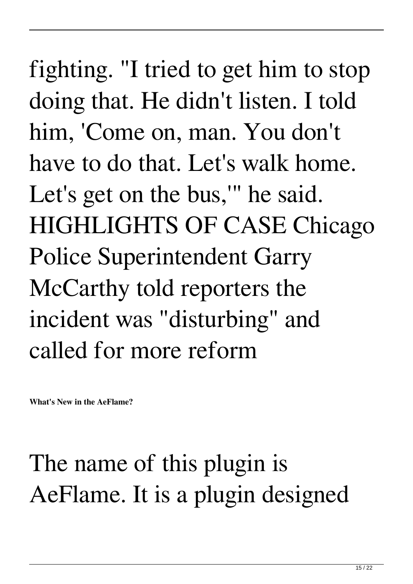fighting. "I tried to get him to stop doing that. He didn't listen. I told him, 'Come on, man. You don't have to do that. Let's walk home. Let's get on the bus,'" he said. HIGHLIGHTS OF CASE Chicago Police Superintendent Garry McCarthy told reporters the incident was "disturbing" and called for more reform

**What's New in the AeFlame?**

## The name of this plugin is AeFlame. It is a plugin designed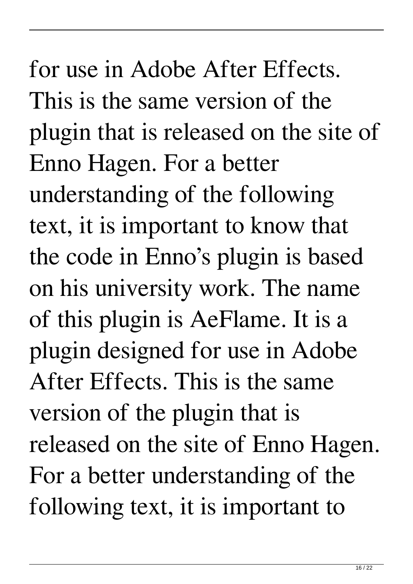for use in Adobe After Effects. This is the same version of the plugin that is released on the site of Enno Hagen. For a better understanding of the following text, it is important to know that the code in Enno's plugin is based on his university work. The name of this plugin is AeFlame. It is a plugin designed for use in Adobe After Effects. This is the same version of the plugin that is released on the site of Enno Hagen. For a better understanding of the following text, it is important to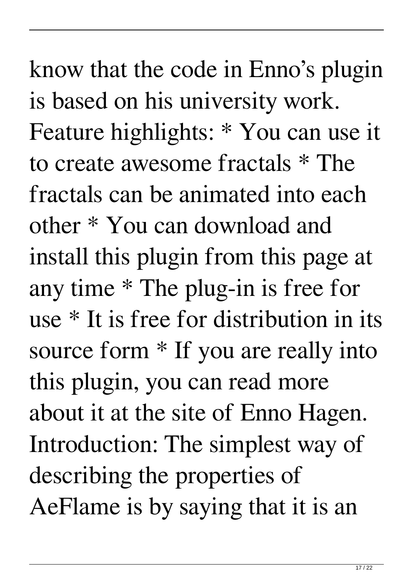know that the code in Enno's plugin is based on his university work. Feature highlights: \* You can use it to create awesome fractals \* The fractals can be animated into each other \* You can download and install this plugin from this page at any time \* The plug-in is free for use \* It is free for distribution in its source form  $*$  If you are really into this plugin, you can read more about it at the site of Enno Hagen. Introduction: The simplest way of describing the properties of AeFlame is by saying that it is an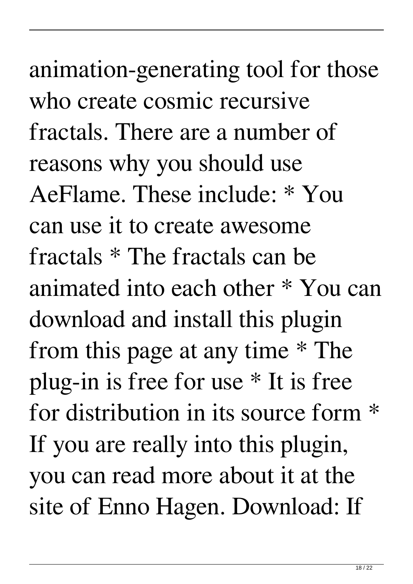animation-generating tool for those who create cosmic recursive fractals. There are a number of reasons why you should use AeFlame. These include: \* You can use it to create awesome fractals \* The fractals can be animated into each other \* You can download and install this plugin from this page at any time \* The plug-in is free for use \* It is free for distribution in its source form If you are really into this plugin, you can read more about it at the site of Enno Hagen. Download: If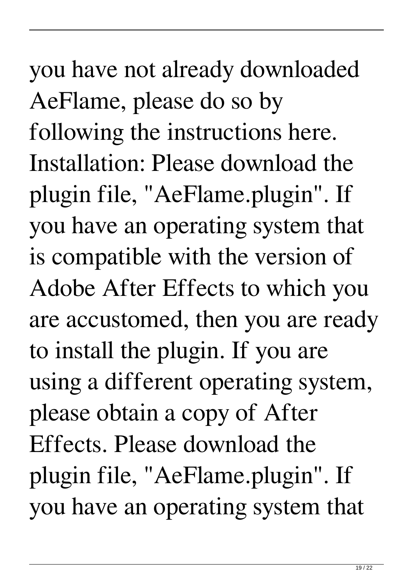you have not already downloaded AeFlame, please do so by following the instructions here. Installation: Please download the plugin file, "AeFlame.plugin". If you have an operating system that is compatible with the version of Adobe After Effects to which you are accustomed, then you are ready to install the plugin. If you are using a different operating system, please obtain a copy of After Effects. Please download the plugin file, "AeFlame.plugin". If you have an operating system that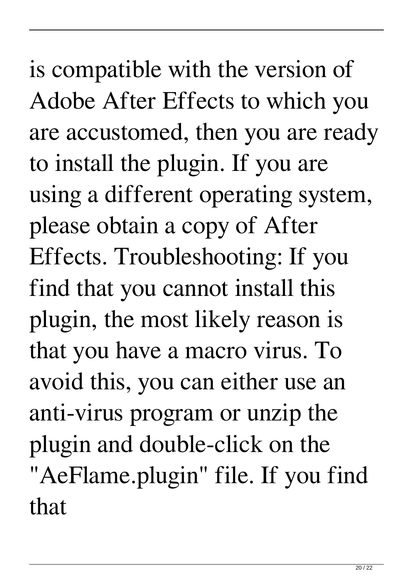is compatible with the version of Adobe After Effects to which you are accustomed, then you are ready to install the plugin. If you are using a different operating system, please obtain a copy of After Effects. Troubleshooting: If you find that you cannot install this plugin, the most likely reason is that you have a macro virus. To avoid this, you can either use an anti-virus program or unzip the plugin and double-click on the "AeFlame.plugin" file. If you find that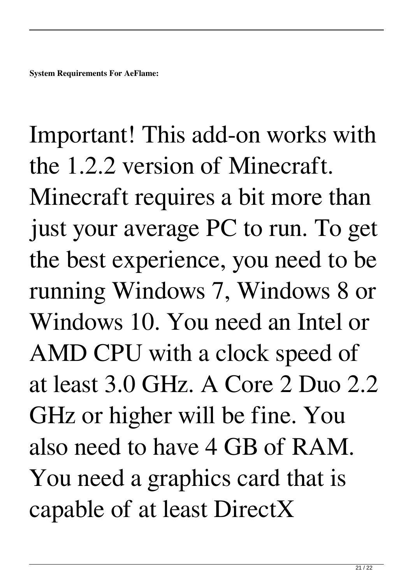# Important! This add-on works with the 1.2.2 version of Minecraft. Minecraft requires a bit more than just your average PC to run. To get the best experience, you need to be running Windows 7, Windows 8 or Windows 10. You need an Intel or AMD CPU with a clock speed of at least 3.0 GHz. A Core 2 Duo 2.2 GHz or higher will be fine. You also need to have 4 GB of RAM. You need a graphics card that is capable of at least DirectX